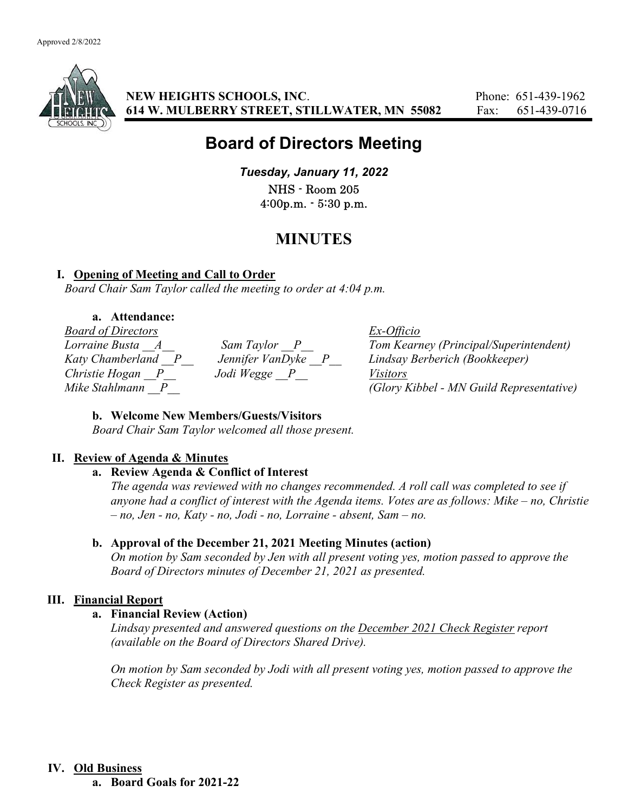

NEW HEIGHTS SCHOOLS, INC. Phone: 651-439-1962 614 W. MULBERRY STREET, STILLWATER, MN 55082 Fax: 651-439-0716

# Board of Directors Meeting

Tuesday, January 11, 2022 NHS - Room 205 4:00p.m. - 5:30 p.m.

## MINUTES

## I. Opening of Meeting and Call to Order

Board Chair Sam Taylor called the meeting to order at 4:04 p.m.

#### a. Attendance:

Board of Directors Ex-Officio Christie Hogan P\_\_ Jodi Wegge P\_\_ Visitors

Lorraine Busta \_\_A\_\_ Sam Taylor \_\_P\_\_ Tom Kearney (Principal/Superintendent) Katy Chamberland P Jennifer VanDyke P Lindsay Berberich (Bookkeeper) Mike Stahlmann  $\Box$  P (Glory Kibbel - MN Guild Representative)

## b. Welcome New Members/Guests/Visitors

Board Chair Sam Taylor welcomed all those present.

## II. Review of Agenda & Minutes

#### a. Review Agenda & Conflict of Interest

The agenda was reviewed with no changes recommended. A roll call was completed to see if anyone had a conflict of interest with the Agenda items. Votes are as follows: Mike – no, Christie – no, Jen - no, Katy - no, Jodi - no, Lorraine - absent, Sam – no.

## b. Approval of the December 21, 2021 Meeting Minutes (action)

On motion by Sam seconded by Jen with all present voting yes, motion passed to approve the Board of Directors minutes of December 21, 2021 as presented.

## III. Financial Report

## a. Financial Review (Action)

Lindsay presented and answered questions on the December 2021 Check Register report (available on the Board of Directors Shared Drive).

On motion by Sam seconded by Jodi with all present voting yes, motion passed to approve the Check Register as presented.

#### IV. Old Business

a. Board Goals for 2021-22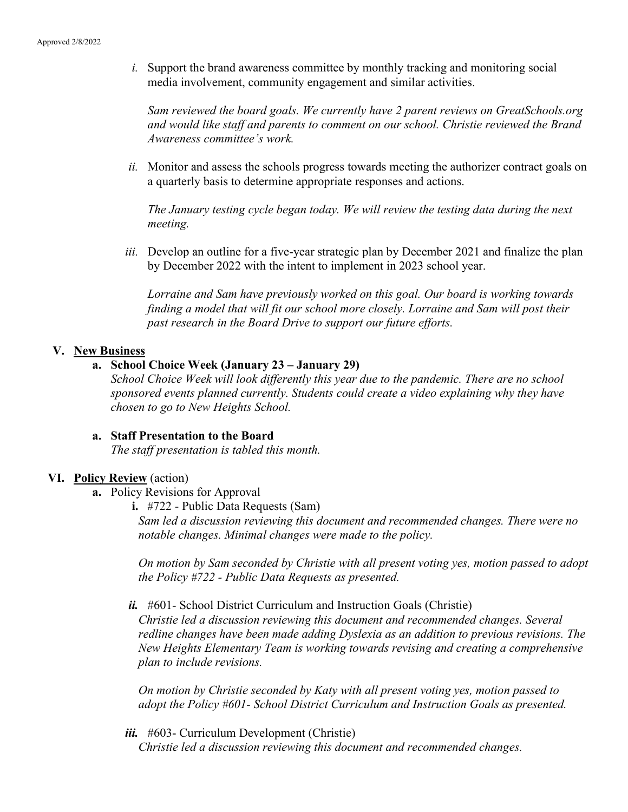i. Support the brand awareness committee by monthly tracking and monitoring social media involvement, community engagement and similar activities.

Sam reviewed the board goals. We currently have 2 parent reviews on GreatSchools.org and would like staff and parents to comment on our school. Christie reviewed the Brand Awareness committee's work.

ii. Monitor and assess the schools progress towards meeting the authorizer contract goals on a quarterly basis to determine appropriate responses and actions.

The January testing cycle began today. We will review the testing data during the next meeting.

iii. Develop an outline for a five-year strategic plan by December 2021 and finalize the plan by December 2022 with the intent to implement in 2023 school year.

Lorraine and Sam have previously worked on this goal. Our board is working towards finding a model that will fit our school more closely. Lorraine and Sam will post their past research in the Board Drive to support our future efforts.

#### V. New Business

## a. School Choice Week (January 23 – January 29)

School Choice Week will look differently this year due to the pandemic. There are no school sponsored events planned currently. Students could create a video explaining why they have chosen to go to New Heights School.

#### a. Staff Presentation to the Board The staff presentation is tabled this month.

#### VI. Policy Review (action)

- a. Policy Revisions for Approval
	- i. #722 Public Data Requests (Sam)

Sam led a discussion reviewing this document and recommended changes. There were no notable changes. Minimal changes were made to the policy.

On motion by Sam seconded by Christie with all present voting yes, motion passed to adopt the Policy #722 - Public Data Requests as presented.

 $ii.$  #601- School District Curriculum and Instruction Goals (Christie)

Christie led a discussion reviewing this document and recommended changes. Several redline changes have been made adding Dyslexia as an addition to previous revisions. The New Heights Elementary Team is working towards revising and creating a comprehensive plan to include revisions.

On motion by Christie seconded by Katy with all present voting yes, motion passed to adopt the Policy #601- School District Curriculum and Instruction Goals as presented.

iii. #603- Curriculum Development (Christie) Christie led a discussion reviewing this document and recommended changes.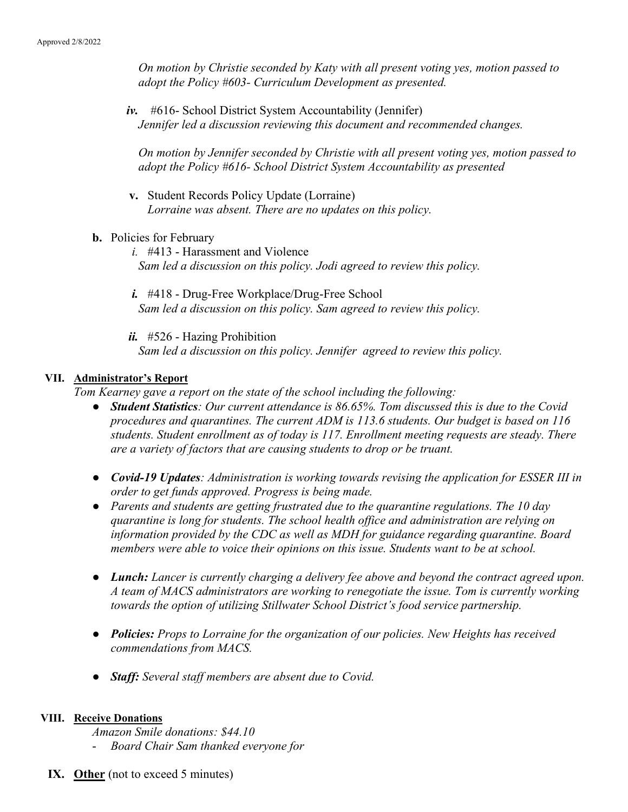On motion by Christie seconded by Katy with all present voting yes, motion passed to adopt the Policy #603- Curriculum Development as presented.

iv. #616- School District System Accountability (Jennifer) Jennifer led a discussion reviewing this document and recommended changes.

On motion by Jennifer seconded by Christie with all present voting yes, motion passed to adopt the Policy #616- School District System Accountability as presented

- v. Student Records Policy Update (Lorraine) Lorraine was absent. There are no updates on this policy.
- b. Policies for February
	- i. #413 Harassment and Violence Sam led a discussion on this policy. Jodi agreed to review this policy.
	- i. #418 Drug-Free Workplace/Drug-Free School Sam led a discussion on this policy. Sam agreed to review this policy.

 $ii.$  #526 - Hazing Prohibition Sam led a discussion on this policy. Jennifer agreed to review this policy.

#### VII. Administrator's Report

Tom Kearney gave a report on the state of the school including the following:

- Student Statistics: Our current attendance is 86.65%. Tom discussed this is due to the Covid procedures and quarantines. The current ADM is 113.6 students. Our budget is based on 116 students. Student enrollment as of today is 117. Enrollment meeting requests are steady. There are a variety of factors that are causing students to drop or be truant.
- Covid-19 Updates: Administration is working towards revising the application for ESSER III in order to get funds approved. Progress is being made.
- Parents and students are getting frustrated due to the quarantine regulations. The 10 day quarantine is long for students. The school health office and administration are relying on information provided by the CDC as well as MDH for guidance regarding quarantine. Board members were able to voice their opinions on this issue. Students want to be at school.
- Lunch: Lancer is currently charging a delivery fee above and beyond the contract agreed upon. A team of MACS administrators are working to renegotiate the issue. Tom is currently working towards the option of utilizing Stillwater School District's food service partnership.
- Policies: Props to Lorraine for the organization of our policies. New Heights has received commendations from MACS.
- Staff: Several staff members are absent due to Covid.

#### VIII. Receive Donations

Amazon Smile donations: \$44.10 - Board Chair Sam thanked everyone for

IX. Other (not to exceed 5 minutes)